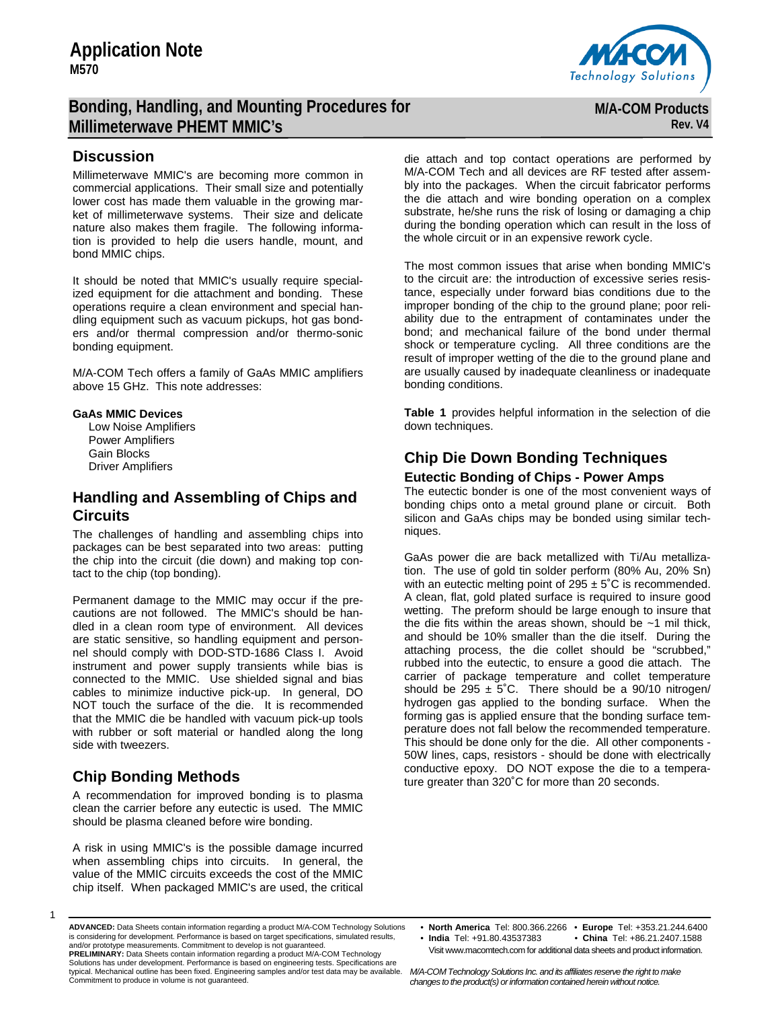# **Bonding, Handling, and Mounting Procedures for Millimeterwave PHEMT MMIC's**

## **Discussion**

Millimeterwave MMIC's are becoming more common in commercial applications. Their small size and potentially lower cost has made them valuable in the growing market of millimeterwave systems. Their size and delicate nature also makes them fragile. The following information is provided to help die users handle, mount, and bond MMIC chips.

It should be noted that MMIC's usually require specialized equipment for die attachment and bonding. These operations require a clean environment and special handling equipment such as vacuum pickups, hot gas bonders and/or thermal compression and/or thermo-sonic bonding equipment.

M/A-COM Tech offers a family of GaAs MMIC amplifiers above 15 GHz. This note addresses:

#### **GaAs MMIC Devices**

 Low Noise Amplifiers Power Amplifiers Gain Blocks Driver Amplifiers

## **Handling and Assembling of Chips and Circuits**

The challenges of handling and assembling chips into packages can be best separated into two areas: putting the chip into the circuit (die down) and making top contact to the chip (top bonding).

Permanent damage to the MMIC may occur if the precautions are not followed. The MMIC's should be handled in a clean room type of environment. All devices are static sensitive, so handling equipment and personnel should comply with DOD-STD-1686 Class I. Avoid instrument and power supply transients while bias is connected to the MMIC. Use shielded signal and bias cables to minimize inductive pick-up. In general, DO NOT touch the surface of the die. It is recommended that the MMIC die be handled with vacuum pick-up tools with rubber or soft material or handled along the long side with tweezers.

# **Chip Bonding Methods**

A recommendation for improved bonding is to plasma clean the carrier before any eutectic is used. The MMIC should be plasma cleaned before wire bonding.

A risk in using MMIC's is the possible damage incurred when assembling chips into circuits. In general, the value of the MMIC circuits exceeds the cost of the MMIC chip itself. When packaged MMIC's are used, the critical



**M/A-COM Products Rev. V4**

die attach and top contact operations are performed by M/A-COM Tech and all devices are RF tested after assembly into the packages. When the circuit fabricator performs the die attach and wire bonding operation on a complex substrate, he/she runs the risk of losing or damaging a chip during the bonding operation which can result in the loss of the whole circuit or in an expensive rework cycle.

The most common issues that arise when bonding MMIC's to the circuit are: the introduction of excessive series resistance, especially under forward bias conditions due to the improper bonding of the chip to the ground plane; poor reliability due to the entrapment of contaminates under the bond; and mechanical failure of the bond under thermal shock or temperature cycling. All three conditions are the result of improper wetting of the die to the ground plane and are usually caused by inadequate cleanliness or inadequate bonding conditions.

**Table 1** provides helpful information in the selection of die down techniques.

# **Chip Die Down Bonding Techniques**

### **Eutectic Bonding of Chips - Power Amps**

The eutectic bonder is one of the most convenient ways of bonding chips onto a metal ground plane or circuit. Both silicon and GaAs chips may be bonded using similar techniques.

GaAs power die are back metallized with Ti/Au metallization. The use of gold tin solder perform (80% Au, 20% Sn) with an eutectic melting point of  $295 \pm 5^\circ \text{C}$  is recommended. A clean, flat, gold plated surface is required to insure good wetting. The preform should be large enough to insure that the die fits within the areas shown, should be  $~1$  mil thick, and should be 10% smaller than the die itself. During the attaching process, the die collet should be "scrubbed," rubbed into the eutectic, to ensure a good die attach. The carrier of package temperature and collet temperature should be 295  $\pm$  5°C. There should be a 90/10 nitrogen/ hydrogen gas applied to the bonding surface. When the forming gas is applied ensure that the bonding surface temperature does not fall below the recommended temperature. This should be done only for the die. All other components - 50W lines, caps, resistors - should be done with electrically conductive epoxy. DO NOT expose the die to a temperature greater than 320˚C for more than 20 seconds.

Visit www.macomtech.com for additional data sheets and product information.

Solutions has under development. Performance is based on engineering tests. Specifications are typical. Mechanical outline has been fixed. Engineering samples and/or test data may be available. Commitment to produce in volume is not guaranteed.

<sup>1</sup> 

**ADVANCED:** Data Sheets contain information regarding a product M/A-COM Technology Solutions is considering for development. Performance is based on target specifications, simulated results, and/or prototype measurements. Commitment to develop is not guaranteed. **PRELIMINARY:** Data Sheets contain information regarding a product M/A-COM Technology

<sup>•</sup> **North America** Tel: 800.366.2266 • **Europe** Tel: +353.21.244.6400 • **India** Tel: +91.80.43537383 • **China** Tel: +86.21.2407.1588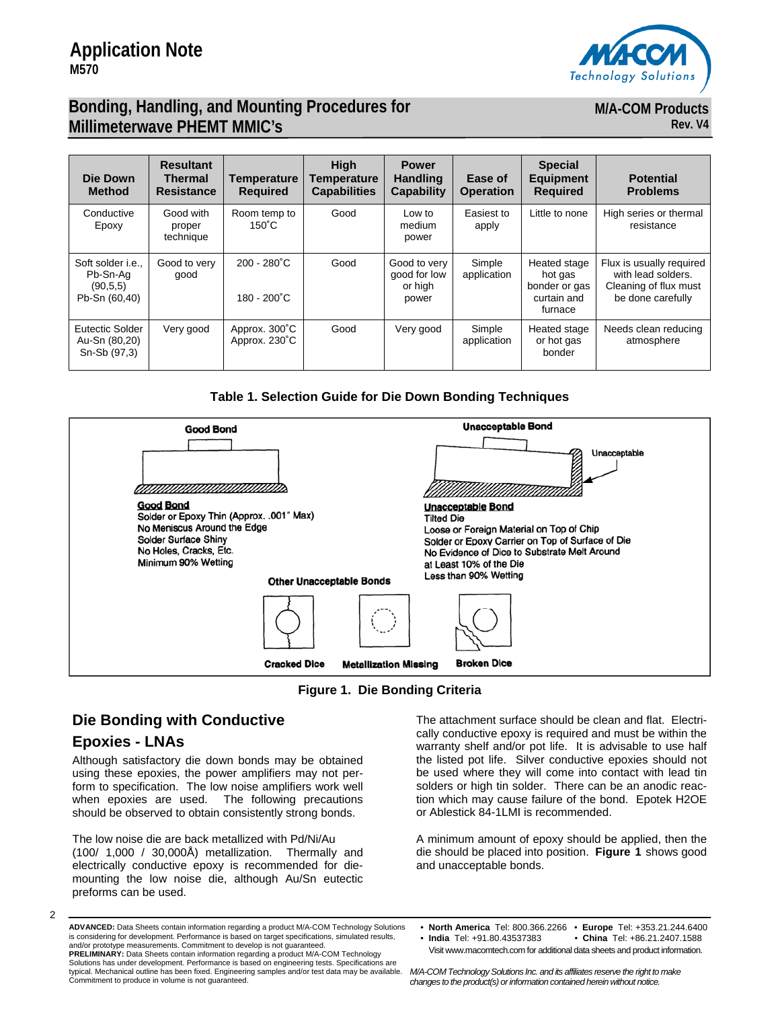

**M/A-COM Products** 

**Rev. V4**

# **Bonding, Handling, and Mounting Procedures for Millimeterwave PHEMT MMIC's**

| Die Down<br><b>Method</b>                                          | <b>Resultant</b><br>Thermal<br><b>Resistance</b> | <b>Temperature</b><br><b>Required</b>          | <b>High</b><br>Temperature<br><b>Capabilities</b> | <b>Power</b><br><b>Handling</b><br><b>Capability</b> | Ease of<br><b>Operation</b> | <b>Special</b><br><b>Equipment</b><br><b>Required</b>              | <b>Potential</b><br><b>Problems</b>                                                          |
|--------------------------------------------------------------------|--------------------------------------------------|------------------------------------------------|---------------------------------------------------|------------------------------------------------------|-----------------------------|--------------------------------------------------------------------|----------------------------------------------------------------------------------------------|
| Conductive<br>Epoxy                                                | Good with<br>proper<br>technique                 | Room temp to<br>$150^{\circ}$ C                | Good                                              | Low to<br>medium<br>power                            | Easiest to<br>apply         | Little to none                                                     | High series or thermal<br>resistance                                                         |
| Soft solder <i>i.e.</i> .<br>Pb-Sn-Aa<br>(90.5.5)<br>Pb-Sn (60,40) | Good to very<br>qood                             | $200 - 280^{\circ}$ C<br>$180 - 200^{\circ}$ C | Good                                              | Good to very<br>good for low<br>or high<br>power     | Simple<br>application       | Heated stage<br>hot gas<br>bonder or gas<br>curtain and<br>furnace | Flux is usually required<br>with lead solders.<br>Cleaning of flux must<br>be done carefully |
| Eutectic Solder<br>Au-Sn (80,20)<br>Sn-Sb (97,3)                   | Very good                                        | Approx. 300°C<br>Approx. 230°C                 | Good                                              | Very good                                            | Simple<br>application       | Heated stage<br>or hot gas<br>bonder                               | Needs clean reducing<br>atmosphere                                                           |

### **Table 1. Selection Guide for Die Down Bonding Techniques**



**Figure 1. Die Bonding Criteria** 

# **Die Bonding with Conductive**

# **Epoxies - LNAs**

 $\mathfrak{p}$ 

Although satisfactory die down bonds may be obtained using these epoxies, the power amplifiers may not perform to specification. The low noise amplifiers work well when epoxies are used. The following precautions should be observed to obtain consistently strong bonds.

The low noise die are back metallized with Pd/Ni/Au (100/ 1,000 / 30,000Å) metallization. Thermally and electrically conductive epoxy is recommended for diemounting the low noise die, although Au/Sn eutectic preforms can be used.

The attachment surface should be clean and flat. Electrically conductive epoxy is required and must be within the warranty shelf and/or pot life. It is advisable to use half the listed pot life. Silver conductive epoxies should not be used where they will come into contact with lead tin solders or high tin solder. There can be an anodic reaction which may cause failure of the bond. Epotek H2OE or Ablestick 84-1LMI is recommended.

A minimum amount of epoxy should be applied, then the die should be placed into position. **Figure 1** shows good and unacceptable bonds.

- China Tel: +86.21.2407.1588
- Visit www.macomtech.com for additional data sheets and product information.

**PRELIMINARY:** Data Sheets contain information regarding a product M/A-COM Technology Solutions has under development. Performance is based on engineering tests. Specifications are typical. Mechanical outline has been fixed. Engineering samples and/or test data may be available. Commitment to produce in volume is not guaranteed.

**ADVANCED:** Data Sheets contain information regarding a product M/A-COM Technology Solutions is considering for development. Performance is based on target specifications, simulated results, and/or prototype measurements. Commitment to develop is not guaranteed.

<sup>•</sup> **North America** Tel: 800.366.2266 • **Europe** Tel: +353.21.244.6400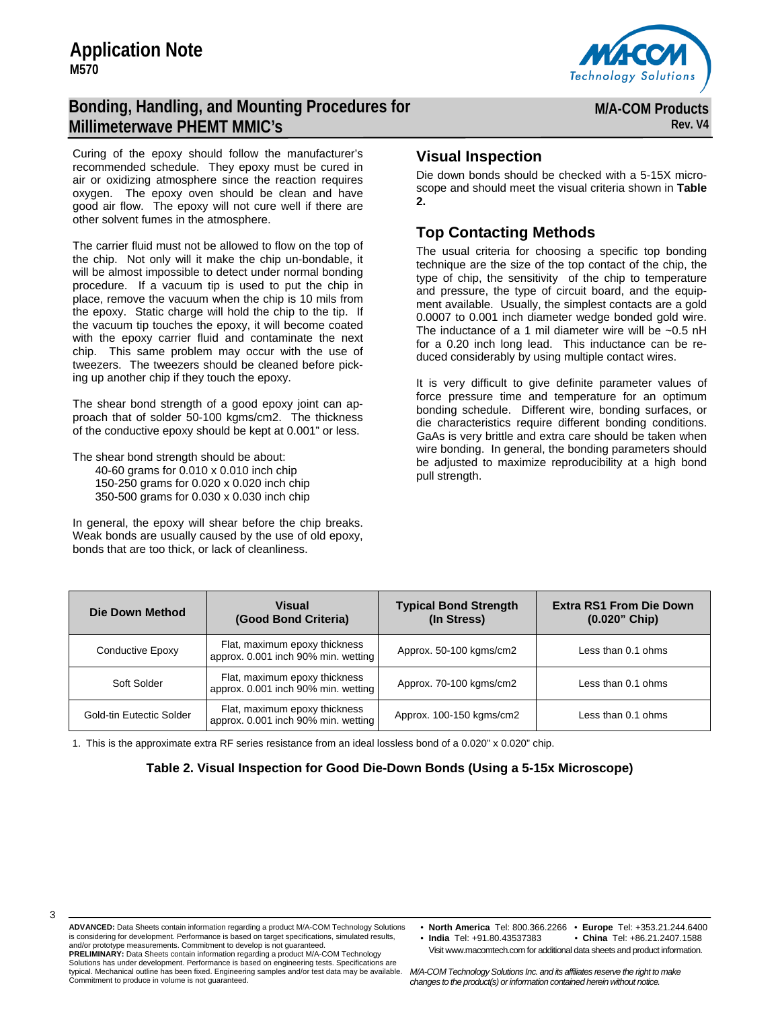# **Application Note M570**

# **Bonding, Handling, and Mounting Procedures for Millimeterwave PHEMT MMIC's**



**M/A-COM Products Rev. V4**

Curing of the epoxy should follow the manufacturer's recommended schedule. They epoxy must be cured in air or oxidizing atmosphere since the reaction requires oxygen. The epoxy oven should be clean and have good air flow. The epoxy will not cure well if there are other solvent fumes in the atmosphere.

The carrier fluid must not be allowed to flow on the top of the chip. Not only will it make the chip un-bondable, it will be almost impossible to detect under normal bonding procedure. If a vacuum tip is used to put the chip in place, remove the vacuum when the chip is 10 mils from the epoxy. Static charge will hold the chip to the tip. If the vacuum tip touches the epoxy, it will become coated with the epoxy carrier fluid and contaminate the next chip. This same problem may occur with the use of tweezers. The tweezers should be cleaned before picking up another chip if they touch the epoxy.

The shear bond strength of a good epoxy joint can approach that of solder 50-100 kgms/cm2. The thickness of the conductive epoxy should be kept at 0.001" or less.

The shear bond strength should be about: 40-60 grams for 0.010 x 0.010 inch chip 150-250 grams for 0.020 x 0.020 inch chip 350-500 grams for 0.030 x 0.030 inch chip

In general, the epoxy will shear before the chip breaks. Weak bonds are usually caused by the use of old epoxy, bonds that are too thick, or lack of cleanliness.

## **Visual Inspection**

Die down bonds should be checked with a 5-15X microscope and should meet the visual criteria shown in **Table 2.** 

## **Top Contacting Methods**

The usual criteria for choosing a specific top bonding technique are the size of the top contact of the chip, the type of chip, the sensitivity of the chip to temperature and pressure, the type of circuit board, and the equipment available. Usually, the simplest contacts are a gold 0.0007 to 0.001 inch diameter wedge bonded gold wire. The inductance of a 1 mil diameter wire will be  $\sim$ 0.5 nH for a 0.20 inch long lead. This inductance can be reduced considerably by using multiple contact wires.

It is very difficult to give definite parameter values of force pressure time and temperature for an optimum bonding schedule. Different wire, bonding surfaces, or die characteristics require different bonding conditions. GaAs is very brittle and extra care should be taken when wire bonding. In general, the bonding parameters should be adjusted to maximize reproducibility at a high bond pull strength.

| Die Down Method          | <b>Visual</b><br>(Good Bond Criteria)                                | <b>Typical Bond Strength</b><br>(In Stress) | <b>Extra RS1 From Die Down</b><br>$(0.020"$ Chip) |  |
|--------------------------|----------------------------------------------------------------------|---------------------------------------------|---------------------------------------------------|--|
| Conductive Epoxy         | Flat, maximum epoxy thickness<br>approx. 0.001 inch 90% min. wetting | Approx. 50-100 kgms/cm2                     | Less than 0.1 ohms                                |  |
| Soft Solder              | Flat, maximum epoxy thickness<br>approx. 0.001 inch 90% min. wetting | Approx. 70-100 kgms/cm2                     | Less than 0.1 ohms                                |  |
| Gold-tin Eutectic Solder | Flat, maximum epoxy thickness<br>approx. 0.001 inch 90% min. wetting | Approx. 100-150 kgms/cm2                    | Less than 0.1 ohms                                |  |

1. This is the approximate extra RF series resistance from an ideal lossless bond of a 0.020" x 0.020" chip.

### **Table 2. Visual Inspection for Good Die-Down Bonds (Using a 5-15x Microscope)**

Commitment to produce in volume is not guaranteed.

• **North America** Tel: 800.366.2266 • **Europe** Tel: +353.21.244.6400 • **India** Tel: +91.80.43537383 • **China** Tel: +86.21.2407.1588

Visit www.macomtech.com for additional data sheets and product information.

*M/A-COM Technology Solutions Inc. and its affiliates reserve the right to make changes to the product(s) or information contained herein without notice.*  typical. Mechanical outline has been fixed. Engineering samples and/or test data may be available.

**ADVANCED:** Data Sheets contain information regarding a product M/A-COM Technology Solutions is considering for development. Performance is based on target specifications, simulated results, and/or prototype measurements. Commitment to develop is not guaranteed. **PRELIMINARY:** Data Sheets contain information regarding a product M/A-COM Technology Solutions has under development. Performance is based on engineering tests. Specifications are